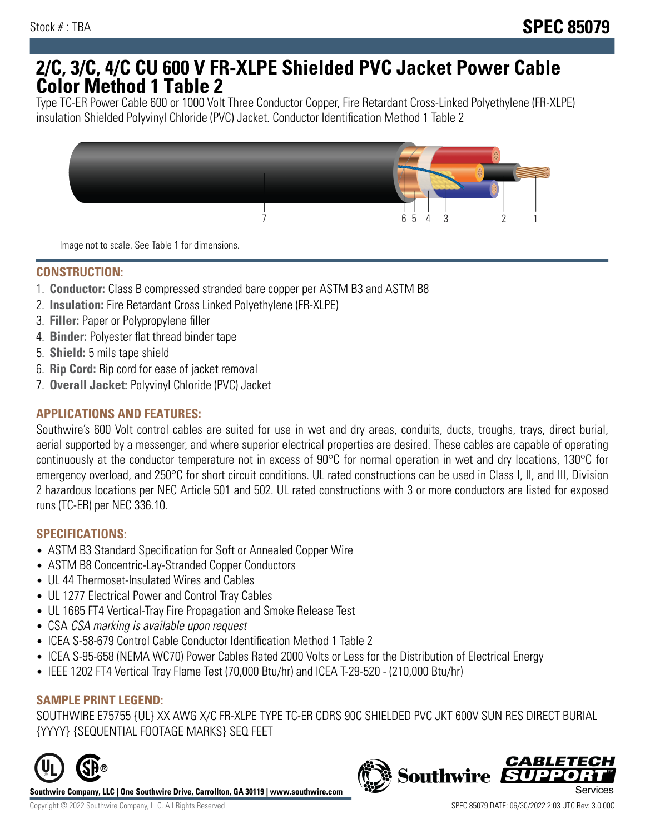## **2/C, 3/C, 4/C CU 600 V FR-XLPE Shielded PVC Jacket Power Cable Color Method 1 Table 2**

Type TC-ER Power Cable 600 or 1000 Volt Three Conductor Copper, Fire Retardant Cross-Linked Polyethylene (FR-XLPE) insulation Shielded Polyvinyl Chloride (PVC) Jacket. Conductor Identification Method 1 Table 2



Image not to scale. See Table 1 for dimensions.

## **CONSTRUCTION:**

- 1. **Conductor:** Class B compressed stranded bare copper per ASTM B3 and ASTM B8
- 2. **Insulation:** Fire Retardant Cross Linked Polyethylene (FR-XLPE)
- 3. **Filler:** Paper or Polypropylene filler
- 4. **Binder:** Polyester flat thread binder tape
- 5. **Shield:** 5 mils tape shield
- 6. **Rip Cord:** Rip cord for ease of jacket removal
- 7. **Overall Jacket:** Polyvinyl Chloride (PVC) Jacket

### **APPLICATIONS AND FEATURES:**

Southwire's 600 Volt control cables are suited for use in wet and dry areas, conduits, ducts, troughs, trays, direct burial, aerial supported by a messenger, and where superior electrical properties are desired. These cables are capable of operating continuously at the conductor temperature not in excess of 90°C for normal operation in wet and dry locations, 130°C for emergency overload, and 250°C for short circuit conditions. UL rated constructions can be used in Class I, II, and III, Division 2 hazardous locations per NEC Article 501 and 502. UL rated constructions with 3 or more conductors are listed for exposed runs (TC-ER) per NEC 336.10.

#### **SPECIFICATIONS:**

- ASTM B3 Standard Specification for Soft or Annealed Copper Wire
- ASTM B8 Concentric-Lay-Stranded Copper Conductors
- UL 44 Thermoset-Insulated Wires and Cables
- UL 1277 Electrical Power and Control Tray Cables
- UL 1685 FT4 Vertical-Tray Fire Propagation and Smoke Release Test
- CSA CSA marking is available upon request
- ICEA S-58-679 Control Cable Conductor Identification Method 1 Table 2
- ICEA S-95-658 (NEMA WC70) Power Cables Rated 2000 Volts or Less for the Distribution of Electrical Energy
- IEEE 1202 FT4 Vertical Tray Flame Test (70,000 Btu/hr) and ICEA T-29-520 (210,000 Btu/hr)

#### **SAMPLE PRINT LEGEND:**

SOUTHWIRE E75755 {UL} XX AWG X/C FR-XLPE TYPE TC-ER CDRS 90C SHIELDED PVC JKT 600V SUN RES DIRECT BURIAL {YYYY} {SEQUENTIAL FOOTAGE MARKS} SEQ FEET



**Southwire Company, LLC | One Southwire Drive, Carrollton, GA 30119 | www.southwire.com**